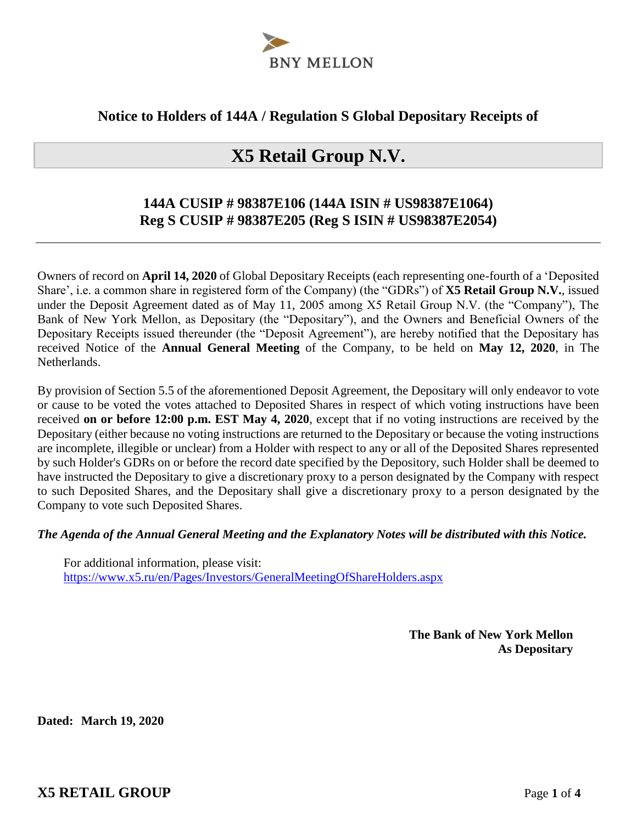

### **Notice to Holders of 144A / Regulation S Global Depositary Receipts of**

# **X5 Retail Group N.V.**

## **144A CUSIP # 98387E106 (144A ISIN # US98387E1064) Reg S CUSIP # 98387E205 (Reg S ISIN # US98387E2054)**

Owners of record on **April 14, 2020** of Global Depositary Receipts (each representing one-fourth of a 'Deposited Share', i.e. a common share in registered form of the Company) (the "GDRs") of **X5 Retail Group N.V.**, issued under the Deposit Agreement dated as of May 11, 2005 among X5 Retail Group N.V. (the "Company"), The Bank of New York Mellon, as Depositary (the "Depositary"), and the Owners and Beneficial Owners of the Depositary Receipts issued thereunder (the "Deposit Agreement"), are hereby notified that the Depositary has received Notice of the **Annual General Meeting** of the Company, to be held on **May 12, 2020**, in The Netherlands.

By provision of Section 5.5 of the aforementioned Deposit Agreement, the Depositary will only endeavor to vote or cause to be voted the votes attached to Deposited Shares in respect of which voting instructions have been received **on or before 12:00 p.m. EST May 4, 2020**, except that if no voting instructions are received by the Depositary (either because no voting instructions are returned to the Depositary or because the voting instructions are incomplete, illegible or unclear) from a Holder with respect to any or all of the Deposited Shares represented by such Holder's GDRs on or before the record date specified by the Depository, such Holder shall be deemed to have instructed the Depositary to give a discretionary proxy to a person designated by the Company with respect to such Deposited Shares, and the Depositary shall give a discretionary proxy to a person designated by the Company to vote such Deposited Shares.

#### *The Agenda of the Annual General Meeting and the Explanatory Notes will be distributed with this Notice.*

For additional information, please visit: https://www.x5.ru/en/Pages/Investors/GeneralMeetingOfShareHolders.aspx

> **The Bank of New York Mellon As Depositary**

**Dated: March 19, 2020**

**X5 RETAIL GROUP** Page **1** of **4**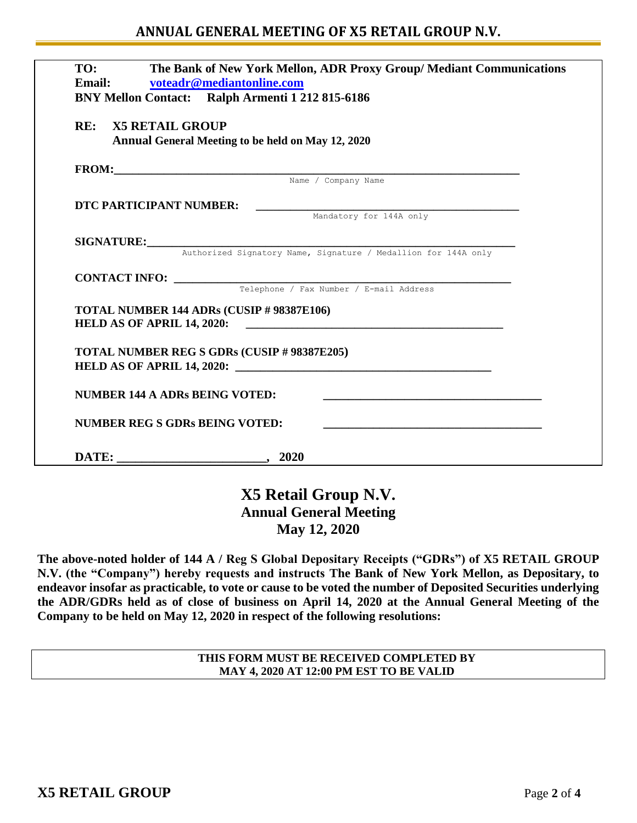### **ANNUAL GENERAL MEETING OF X5 RETAIL GROUP N.V.**

| TO:<br>Email: | The Bank of New York Mellon, ADR Proxy Group/ Mediant Communications<br>voteadr@mediantonline.com<br>BNY Mellon Contact: Ralph Armenti 1 212 815-6186 |  |
|---------------|-------------------------------------------------------------------------------------------------------------------------------------------------------|--|
|               | <b>RE: X5 RETAIL GROUP</b><br>Annual General Meeting to be held on May 12, 2020                                                                       |  |
|               | FROM: Name / Company Name                                                                                                                             |  |
|               |                                                                                                                                                       |  |
|               | DTC PARTICIPANT NUMBER:                                                                                                                               |  |
|               | Mandatory for 144A only                                                                                                                               |  |
|               | SIGNATURE: Authorized Signatory Name, Signature / Medallion for 144A only                                                                             |  |
|               |                                                                                                                                                       |  |
|               | <b>CONTACT INFO:</b> $\frac{}{\text{Telephone } / \text{ Fax Number } / \text{ E-mail Address}}$                                                      |  |
|               |                                                                                                                                                       |  |
|               | TOTAL NUMBER 144 ADRs (CUSIP # 98387E106)                                                                                                             |  |
|               | <b>TOTAL NUMBER REG S GDRs (CUSIP # 98387E205)</b>                                                                                                    |  |
|               | NUMBER 144 A ADRs BEING VOTED:                                                                                                                        |  |
|               | <b>NUMBER REG S GDRs BEING VOTED:</b>                                                                                                                 |  |
|               |                                                                                                                                                       |  |

## **X5 Retail Group N.V. Annual General Meeting May 12, 2020**

**The above-noted holder of 144 A / Reg S Global Depositary Receipts ("GDRs") of X5 RETAIL GROUP N.V. (the "Company") hereby requests and instructs The Bank of New York Mellon, as Depositary, to endeavor insofar as practicable, to vote or cause to be voted the number of Deposited Securities underlying the ADR/GDRs held as of close of business on April 14, 2020 at the Annual General Meeting of the Company to be held on May 12, 2020 in respect of the following resolutions:** 

> **THIS FORM MUST BE RECEIVED COMPLETED BY MAY 4, 2020 AT 12:00 PM EST TO BE VALID**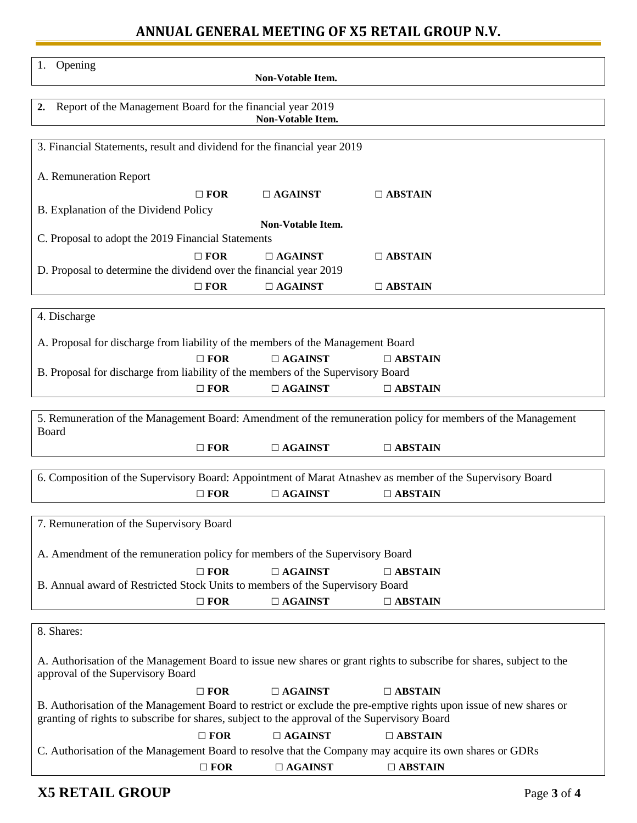# **ANNUAL GENERAL MEETING OF X5 RETAIL GROUP N.V.**

| Opening<br>1.                                                                                                                                                                                                      |            | Non-Votable Item. |                                                                                                           |  |  |  |  |  |
|--------------------------------------------------------------------------------------------------------------------------------------------------------------------------------------------------------------------|------------|-------------------|-----------------------------------------------------------------------------------------------------------|--|--|--|--|--|
| Report of the Management Board for the financial year 2019<br>2.<br>Non-Votable Item.                                                                                                                              |            |                   |                                                                                                           |  |  |  |  |  |
| 3. Financial Statements, result and dividend for the financial year 2019                                                                                                                                           |            |                   |                                                                                                           |  |  |  |  |  |
| A. Remuneration Report                                                                                                                                                                                             |            |                   |                                                                                                           |  |  |  |  |  |
|                                                                                                                                                                                                                    | $\Box$ FOR | $\Box$ AGAINST    | $\Box$ ABSTAIN                                                                                            |  |  |  |  |  |
| B. Explanation of the Dividend Policy                                                                                                                                                                              |            |                   |                                                                                                           |  |  |  |  |  |
| Non-Votable Item.                                                                                                                                                                                                  |            |                   |                                                                                                           |  |  |  |  |  |
| C. Proposal to adopt the 2019 Financial Statements                                                                                                                                                                 |            |                   |                                                                                                           |  |  |  |  |  |
|                                                                                                                                                                                                                    | $\Box$ FOR | $\Box$ AGAINST    | $\Box$ ABSTAIN                                                                                            |  |  |  |  |  |
| D. Proposal to determine the dividend over the financial year 2019                                                                                                                                                 | $\Box$ FOR | $\Box$ AGAINST    | $\Box$ ABSTAIN                                                                                            |  |  |  |  |  |
|                                                                                                                                                                                                                    |            |                   |                                                                                                           |  |  |  |  |  |
| 4. Discharge                                                                                                                                                                                                       |            |                   |                                                                                                           |  |  |  |  |  |
| A. Proposal for discharge from liability of the members of the Management Board                                                                                                                                    |            |                   |                                                                                                           |  |  |  |  |  |
|                                                                                                                                                                                                                    | $\Box$ FOR | $\Box$ AGAINST    | $\Box$ ABSTAIN                                                                                            |  |  |  |  |  |
| B. Proposal for discharge from liability of the members of the Supervisory Board                                                                                                                                   |            |                   |                                                                                                           |  |  |  |  |  |
|                                                                                                                                                                                                                    | $\Box$ FOR | $\Box$ AGAINST    | $\Box$ ABSTAIN                                                                                            |  |  |  |  |  |
| 5. Remuneration of the Management Board: Amendment of the remuneration policy for members of the Management<br>Board                                                                                               |            |                   |                                                                                                           |  |  |  |  |  |
|                                                                                                                                                                                                                    | $\Box$ FOR | $\Box$ AGAINST    | $\Box$ ABSTAIN                                                                                            |  |  |  |  |  |
|                                                                                                                                                                                                                    |            |                   |                                                                                                           |  |  |  |  |  |
|                                                                                                                                                                                                                    |            |                   | 6. Composition of the Supervisory Board: Appointment of Marat Atnashev as member of the Supervisory Board |  |  |  |  |  |
|                                                                                                                                                                                                                    | $\Box$ FOR | $\Box$ AGAINST    | $\Box$ ABSTAIN                                                                                            |  |  |  |  |  |
| 7. Remuneration of the Supervisory Board                                                                                                                                                                           |            |                   |                                                                                                           |  |  |  |  |  |
| A. Amendment of the remuneration policy for members of the Supervisory Board                                                                                                                                       |            |                   |                                                                                                           |  |  |  |  |  |
|                                                                                                                                                                                                                    | $\Box$ FOR | $\Box$ AGAINST    | $\Box$ ABSTAIN                                                                                            |  |  |  |  |  |
| B. Annual award of Restricted Stock Units to members of the Supervisory Board                                                                                                                                      |            |                   |                                                                                                           |  |  |  |  |  |
|                                                                                                                                                                                                                    | $\Box$ FOR | $\Box$ AGAINST    | $\Box$ ABSTAIN                                                                                            |  |  |  |  |  |
|                                                                                                                                                                                                                    |            |                   |                                                                                                           |  |  |  |  |  |
| 8. Shares:                                                                                                                                                                                                         |            |                   |                                                                                                           |  |  |  |  |  |
| A. Authorisation of the Management Board to issue new shares or grant rights to subscribe for shares, subject to the<br>approval of the Supervisory Board                                                          |            |                   |                                                                                                           |  |  |  |  |  |
|                                                                                                                                                                                                                    | $\Box$ FOR | $\Box$ AGAINST    | $\Box$ ABSTAIN                                                                                            |  |  |  |  |  |
| B. Authorisation of the Management Board to restrict or exclude the pre-emptive rights upon issue of new shares or<br>granting of rights to subscribe for shares, subject to the approval of the Supervisory Board |            |                   |                                                                                                           |  |  |  |  |  |
|                                                                                                                                                                                                                    | $\Box$ FOR | $\Box$ AGAINST    | $\Box$ ABSTAIN                                                                                            |  |  |  |  |  |
|                                                                                                                                                                                                                    |            |                   | C. Authorisation of the Management Board to resolve that the Company may acquire its own shares or GDRs   |  |  |  |  |  |
|                                                                                                                                                                                                                    | $\Box$ FOR | $\Box$ AGAINST    | $\Box$ ABSTAIN                                                                                            |  |  |  |  |  |